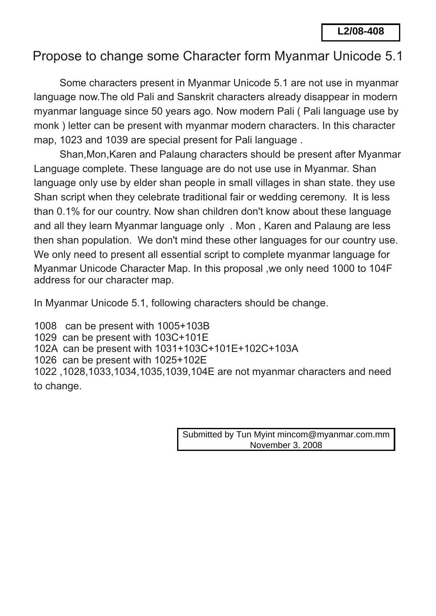## Propose to change some Character form Myanmar Unicode 5.1

 Some characters present in Myanmar Unicode 5.1 are not use in myanmar language now.The old Pali and Sanskrit characters already disappear in modern myanmar language since 50 years ago. Now modern Pali ( Pali language use by monk ) letter can be present with myanmar modern characters. In this character map, 1023 and 1039 are special present for Pali language .

 Shan,Mon,Karen and Palaung characters should be present after Myanmar Language complete. These language are do not use use in Myanmar. Shan language only use by elder shan people in small villages in shan state. they use Shan script when they celebrate traditional fair or wedding ceremony. It is less than 0.1% for our country. Now shan children don't know about these language and all they learn Myanmar language only . Mon , Karen and Palaung are less then shan population. We don't mind these other languages for our country use. We only need to present all essential script to complete myanmar language for Myanmar Unicode Character Map. In this proposal ,we only need 1000 to 104F address for our character map. **L2/08-408**<br>
Drm Myanmar Unicode<br>
code 5.1 are not use in myann<br>
rers already disappear in mod<br>
odern Pali (Pali language use<br>
lern characters. In this charac<br>
i language .<br>
should be present after Myan<br>
I villages in shan

In Myanmar Unicode 5.1, following characters should be change.

1008 can be present with 1005+103B 1029 can be present with 103C+101E 102A can be present with 1031+103C+101E+102C+103A 1026 can be present with 1025+102E 1022 ,1028,1033,1034,1035,1039,104E are not myanmar characters and need to change.

Submitted by Tun Myint mincom@myanmar.com.mm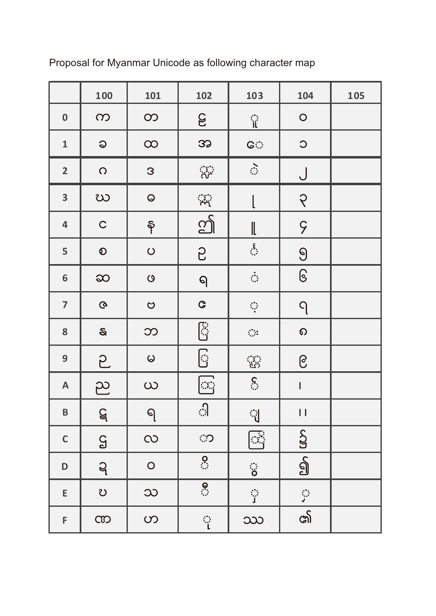|                                  | 100          | 101                   | 102                      | 103                                | 104                      | 105 |
|----------------------------------|--------------|-----------------------|--------------------------|------------------------------------|--------------------------|-----|
| $\boldsymbol{0}$                 | $\infty$     | $\infty$              | <b>S</b>                 | ្ពា                                | $\circ$                  |     |
| $\mathbf{1}$                     | $\mathsf{Q}$ | $\infty$              | 32                       | <b>GO</b>                          | $\circ$                  |     |
| $\overline{2}$                   | $\bigcirc$   | 3                     |                          | $\hat{\mathbb{C}}$                 | J                        |     |
| $\overline{\mathbf{3}}$          | ဃ            | $\pmb{\heartsuit}$    | $\frac{1}{\sqrt{2}}$     |                                    | ၃                        |     |
| $\overline{\mathbf{4}}$          | $\mathsf C$  | $\hat{\mathsf{P}}$    | 12                       | ll                                 | 9                        |     |
| 5                                | $\odot$      | $\bigcirc$            | 5                        | $\sum_{i=1}^{n}$                   | $\Theta$                 |     |
| 6                                | <b>SO</b>    | $\boldsymbol{\omega}$ | $\Theta$                 | $\frac{1}{\sqrt{2}}$               | $\mathbb{G}$             |     |
| $\overline{7}$                   | $\mathbf Q$  | $\circ$               | $\mathbf{C}$             | $\mathbb{Q}$                       | $\Omega$                 |     |
| 8                                | $\mathbf{s}$ | $\infty$              | <b>Pi</b><br>ii          | $\bigoplus_{i=1}^n \mathfrak{g}_i$ | $\Omega$                 |     |
| $\mathbf{9}$                     | 5            | $\omega$              | <br> -<br>               | ु                                  | ၉                        |     |
| A                                | ည            | $\infty$              | $\mathbb{C}\mathbb{C}$   | $\sum_{i=1}^{n}$                   | $\overline{\phantom{a}}$ |     |
| B                                | $\mathsf{Q}$ | ရ                     | ी                        | ्री                                | П                        |     |
| $\mathsf C$                      | $\mathsf{S}$ | $\infty$              | ි                        | 國                                  | S                        |     |
| $\begin{array}{c} \n\end{array}$ | ဍ            | $\overline{O}$        | $\overline{S}$           | ं                                  | $\overline{\mathbb{S}}$  |     |
| $\mathsf E$                      | U            | $\infty$              | $\overline{\mathcal{S}}$ | ្អ                                 |                          |     |
| F                                | CO           | ၯ                     | ្ពុ                      | ဿ                                  | <u>ର୍ଗ</u>               |     |

Proposal for Myanmar Unicode as following character map